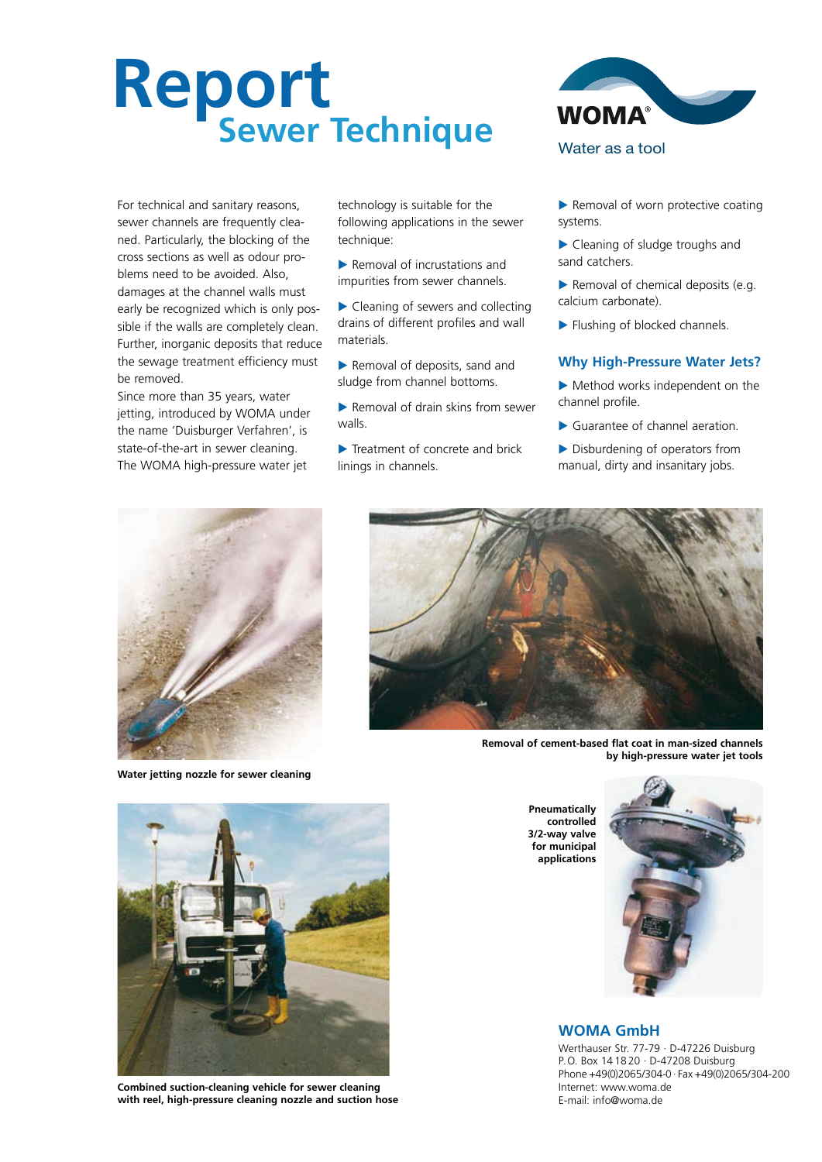# **Report Sewer Technique**



For technical and sanitary reasons, sewer channels are frequently cleaned. Particularly, the blocking of the cross sections as well as odour problems need to be avoided. Also, damages at the channel walls must early be recognized which is only possible if the walls are completely clean. Further, inorganic deposits that reduce the sewage treatment efficiency must be removed.

Since more than 35 years, water jetting, introduced by WOMA under the name 'Duisburger Verfahren', is state-of-the-art in sewer cleaning. The WOMA high-pressure water jet

technology is suitable for the following applications in the sewer technique:

- Removal of incrustations and impurities from sewer channels.
- Cleaning of sewers and collecting drains of different profiles and wall materials.
- Removal of deposits, sand and sludge from channel bottoms.
- $\blacktriangleright$  Removal of drain skins from sewer walls.
- Treatment of concrete and brick linings in channels.
- Removal of worn protective coating systems.
- Cleaning of sludge troughs and sand catchers.
- Removal of chemical deposits (e.g. calcium carbonate).
- Flushing of blocked channels.

#### **Why High-Pressure Water Jets?**

- Method works independent on the channel profile.
- Guarantee of channel aeration.
- Disburdening of operators from manual, dirty and insanitary jobs.



**Water jetting nozzle for sewer cleaning**



**Removal of cement-based flat coat in man-sized channels by high-pressure water jet tools** 



**Combined suction-cleaning vehicle for sewer cleaning with reel, high-pressure cleaning nozzle and suction hose**

**Pneumatically controlled 3/2-way valve for municipal applications**



### **WOMA GmbH**

Werthauser Str. 77-79 · D-47226 Duisburg P.O. Box 14 18 20 · D-47208 Duisburg Phone +49(0)2065/304-0 · Fax +49(0)2065/304-200 Internet: www.woma.de E-mail: info@woma.de